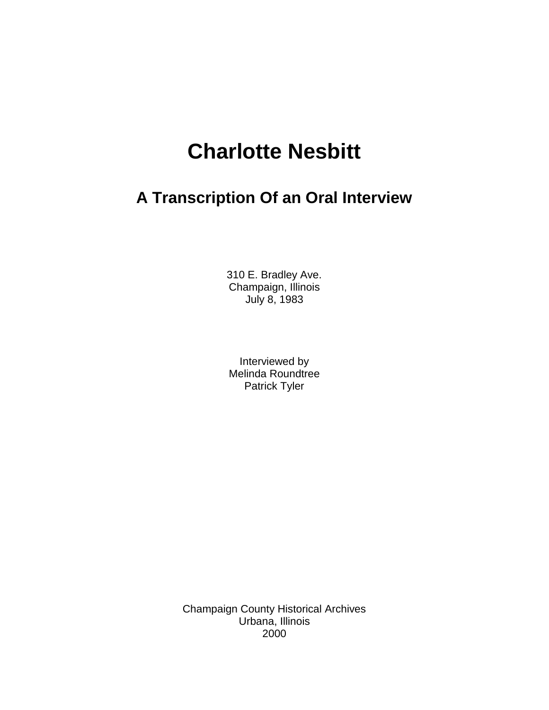# **Charlotte Nesbitt**

## **A Transcription Of an Oral Interview**

310 E. Bradley Ave. Champaign, Illinois July 8, 1983

Interviewed by Melinda Roundtree Patrick Tyler

Champaign County Historical Archives Urbana, Illinois 2000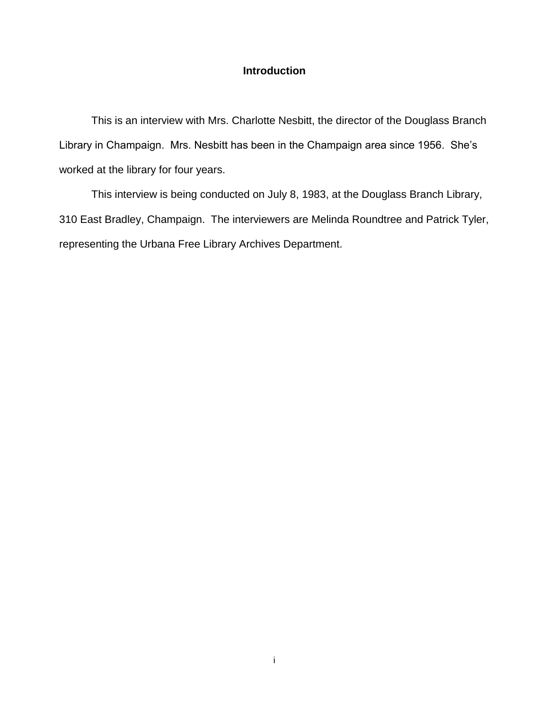### **Introduction**

This is an interview with Mrs. Charlotte Nesbitt, the director of the Douglass Branch Library in Champaign. Mrs. Nesbitt has been in the Champaign area since 1956. She's worked at the library for four years.

This interview is being conducted on July 8, 1983, at the Douglass Branch Library, 310 East Bradley, Champaign. The interviewers are Melinda Roundtree and Patrick Tyler, representing the Urbana Free Library Archives Department.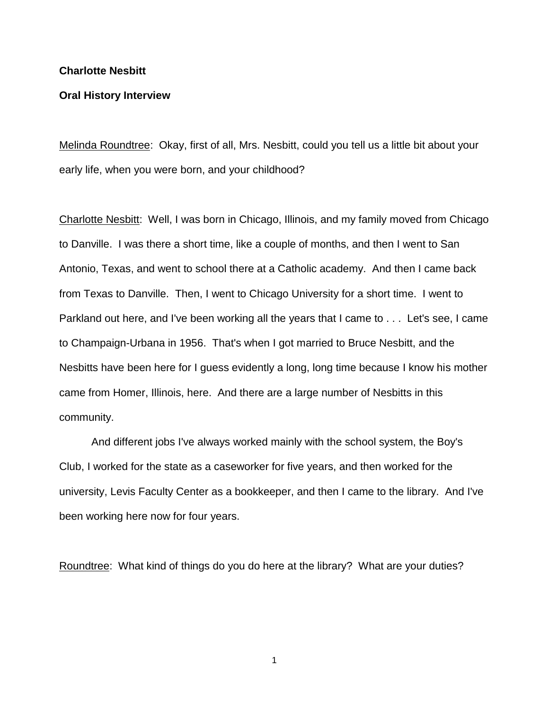#### **Charlotte Nesbitt**

#### **Oral History Interview**

Melinda Roundtree: Okay, first of all, Mrs. Nesbitt, could you tell us a little bit about your early life, when you were born, and your childhood?

Charlotte Nesbitt: Well, I was born in Chicago, Illinois, and my family moved from Chicago to Danville. I was there a short time, like a couple of months, and then I went to San Antonio, Texas, and went to school there at a Catholic academy. And then I came back from Texas to Danville. Then, I went to Chicago University for a short time. I went to Parkland out here, and I've been working all the years that I came to . . . Let's see, I came to Champaign-Urbana in 1956. That's when I got married to Bruce Nesbitt, and the Nesbitts have been here for I guess evidently a long, long time because I know his mother came from Homer, Illinois, here. And there are a large number of Nesbitts in this community.

And different jobs I've always worked mainly with the school system, the Boy's Club, I worked for the state as a caseworker for five years, and then worked for the university, Levis Faculty Center as a bookkeeper, and then I came to the library. And I've been working here now for four years.

Roundtree: What kind of things do you do here at the library? What are your duties?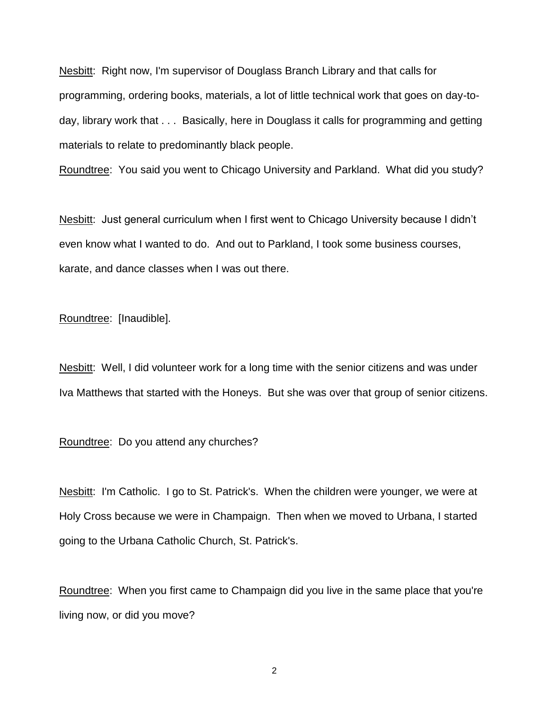Nesbitt: Right now, I'm supervisor of Douglass Branch Library and that calls for programming, ordering books, materials, a lot of little technical work that goes on day-today, library work that . . . Basically, here in Douglass it calls for programming and getting materials to relate to predominantly black people.

Roundtree: You said you went to Chicago University and Parkland. What did you study?

Nesbitt: Just general curriculum when I first went to Chicago University because I didn't even know what I wanted to do. And out to Parkland, I took some business courses, karate, and dance classes when I was out there.

Roundtree: [Inaudible].

Nesbitt: Well, I did volunteer work for a long time with the senior citizens and was under Iva Matthews that started with the Honeys. But she was over that group of senior citizens.

Roundtree: Do you attend any churches?

Nesbitt: I'm Catholic. I go to St. Patrick's. When the children were younger, we were at Holy Cross because we were in Champaign. Then when we moved to Urbana, I started going to the Urbana Catholic Church, St. Patrick's.

Roundtree: When you first came to Champaign did you live in the same place that you're living now, or did you move?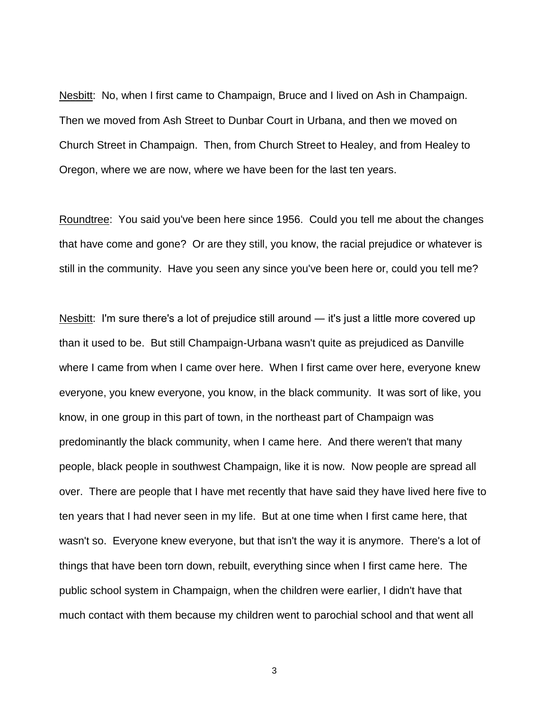Nesbitt: No, when I first came to Champaign, Bruce and I lived on Ash in Champaign. Then we moved from Ash Street to Dunbar Court in Urbana, and then we moved on Church Street in Champaign. Then, from Church Street to Healey, and from Healey to Oregon, where we are now, where we have been for the last ten years.

Roundtree: You said you've been here since 1956. Could you tell me about the changes that have come and gone? Or are they still, you know, the racial prejudice or whatever is still in the community. Have you seen any since you've been here or, could you tell me?

Nesbitt: I'm sure there's a lot of prejudice still around — it's just a little more covered up than it used to be. But still Champaign-Urbana wasn't quite as prejudiced as Danville where I came from when I came over here. When I first came over here, everyone knew everyone, you knew everyone, you know, in the black community. It was sort of like, you know, in one group in this part of town, in the northeast part of Champaign was predominantly the black community, when I came here. And there weren't that many people, black people in southwest Champaign, like it is now. Now people are spread all over. There are people that I have met recently that have said they have lived here five to ten years that I had never seen in my life. But at one time when I first came here, that wasn't so. Everyone knew everyone, but that isn't the way it is anymore. There's a lot of things that have been torn down, rebuilt, everything since when I first came here. The public school system in Champaign, when the children were earlier, I didn't have that much contact with them because my children went to parochial school and that went all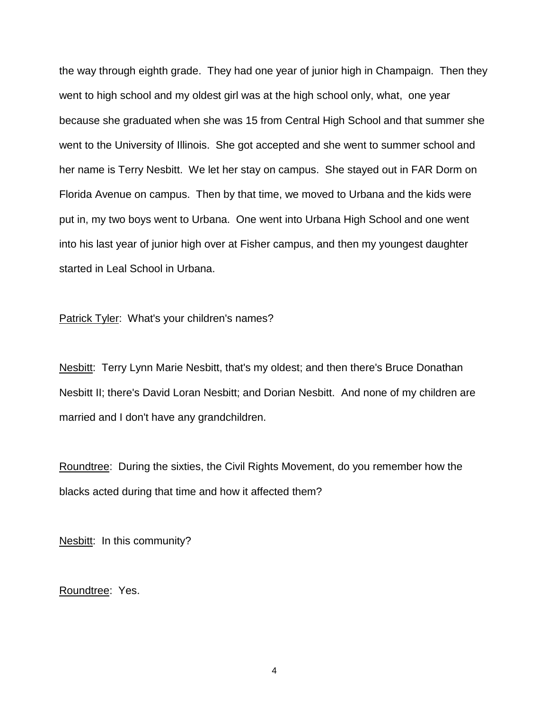the way through eighth grade. They had one year of junior high in Champaign. Then they went to high school and my oldest girl was at the high school only, what, one year because she graduated when she was 15 from Central High School and that summer she went to the University of Illinois. She got accepted and she went to summer school and her name is Terry Nesbitt. We let her stay on campus. She stayed out in FAR Dorm on Florida Avenue on campus. Then by that time, we moved to Urbana and the kids were put in, my two boys went to Urbana. One went into Urbana High School and one went into his last year of junior high over at Fisher campus, and then my youngest daughter started in Leal School in Urbana.

Patrick Tyler: What's your children's names?

Nesbitt: Terry Lynn Marie Nesbitt, that's my oldest; and then there's Bruce Donathan Nesbitt II; there's David Loran Nesbitt; and Dorian Nesbitt. And none of my children are married and I don't have any grandchildren.

Roundtree: During the sixties, the Civil Rights Movement, do you remember how the blacks acted during that time and how it affected them?

Nesbitt: In this community?

Roundtree: Yes.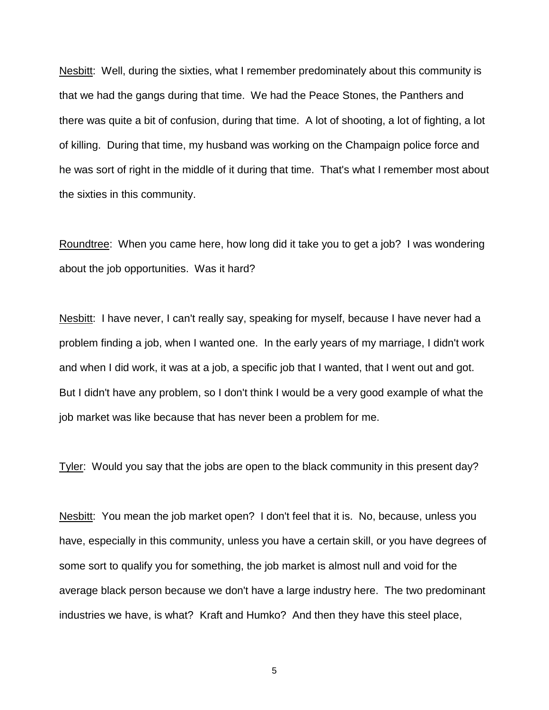Nesbitt: Well, during the sixties, what I remember predominately about this community is that we had the gangs during that time. We had the Peace Stones, the Panthers and there was quite a bit of confusion, during that time. A lot of shooting, a lot of fighting, a lot of killing. During that time, my husband was working on the Champaign police force and he was sort of right in the middle of it during that time. That's what I remember most about the sixties in this community.

Roundtree: When you came here, how long did it take you to get a job? I was wondering about the job opportunities. Was it hard?

Nesbitt: I have never, I can't really say, speaking for myself, because I have never had a problem finding a job, when I wanted one. In the early years of my marriage, I didn't work and when I did work, it was at a job, a specific job that I wanted, that I went out and got. But I didn't have any problem, so I don't think I would be a very good example of what the job market was like because that has never been a problem for me.

Tyler: Would you say that the jobs are open to the black community in this present day?

Nesbitt: You mean the job market open? I don't feel that it is. No, because, unless you have, especially in this community, unless you have a certain skill, or you have degrees of some sort to qualify you for something, the job market is almost null and void for the average black person because we don't have a large industry here. The two predominant industries we have, is what? Kraft and Humko? And then they have this steel place,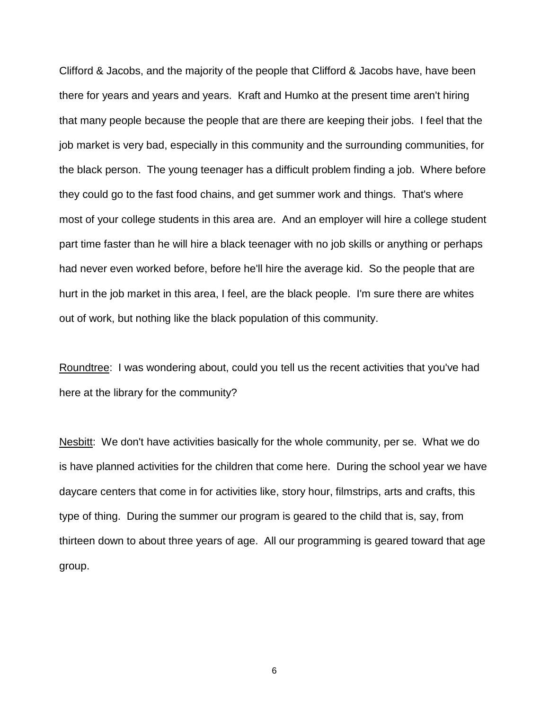Clifford & Jacobs, and the majority of the people that Clifford & Jacobs have, have been there for years and years and years. Kraft and Humko at the present time aren't hiring that many people because the people that are there are keeping their jobs. I feel that the job market is very bad, especially in this community and the surrounding communities, for the black person. The young teenager has a difficult problem finding a job. Where before they could go to the fast food chains, and get summer work and things. That's where most of your college students in this area are. And an employer will hire a college student part time faster than he will hire a black teenager with no job skills or anything or perhaps had never even worked before, before he'll hire the average kid. So the people that are hurt in the job market in this area, I feel, are the black people. I'm sure there are whites out of work, but nothing like the black population of this community.

Roundtree: I was wondering about, could you tell us the recent activities that you've had here at the library for the community?

Nesbitt: We don't have activities basically for the whole community, per se. What we do is have planned activities for the children that come here. During the school year we have daycare centers that come in for activities like, story hour, filmstrips, arts and crafts, this type of thing. During the summer our program is geared to the child that is, say, from thirteen down to about three years of age. All our programming is geared toward that age group.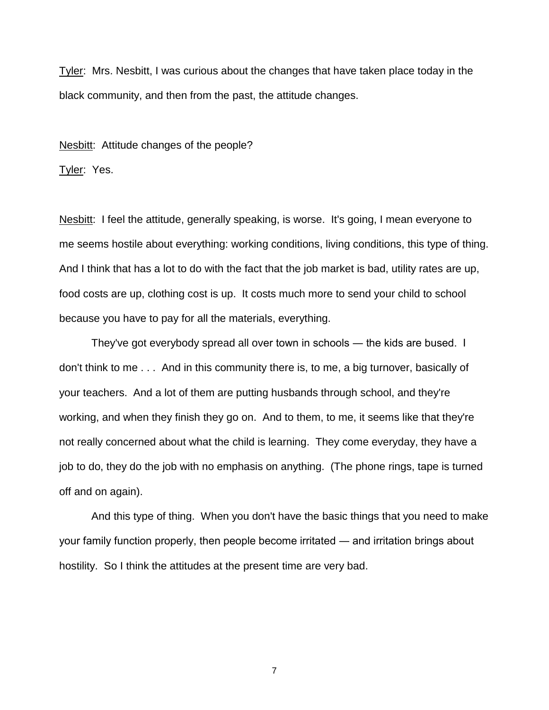Tyler: Mrs. Nesbitt, I was curious about the changes that have taken place today in the black community, and then from the past, the attitude changes.

Nesbitt: Attitude changes of the people?

Tyler: Yes.

Nesbitt: I feel the attitude, generally speaking, is worse. It's going, I mean everyone to me seems hostile about everything: working conditions, living conditions, this type of thing. And I think that has a lot to do with the fact that the job market is bad, utility rates are up, food costs are up, clothing cost is up. It costs much more to send your child to school because you have to pay for all the materials, everything.

They've got everybody spread all over town in schools ― the kids are bused. I don't think to me . . . And in this community there is, to me, a big turnover, basically of your teachers. And a lot of them are putting husbands through school, and they're working, and when they finish they go on. And to them, to me, it seems like that they're not really concerned about what the child is learning. They come everyday, they have a job to do, they do the job with no emphasis on anything. (The phone rings, tape is turned off and on again).

And this type of thing. When you don't have the basic things that you need to make your family function properly, then people become irritated ― and irritation brings about hostility. So I think the attitudes at the present time are very bad.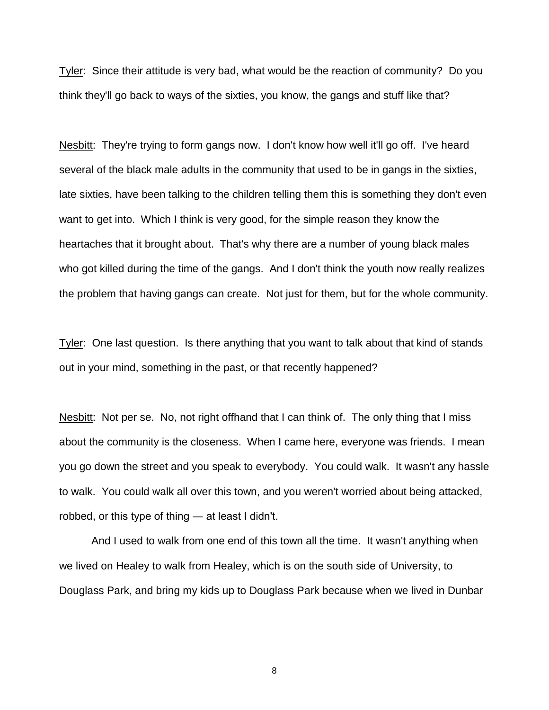Tyler: Since their attitude is very bad, what would be the reaction of community? Do you think they'll go back to ways of the sixties, you know, the gangs and stuff like that?

Nesbitt: They're trying to form gangs now. I don't know how well it'll go off. I've heard several of the black male adults in the community that used to be in gangs in the sixties, late sixties, have been talking to the children telling them this is something they don't even want to get into. Which I think is very good, for the simple reason they know the heartaches that it brought about. That's why there are a number of young black males who got killed during the time of the gangs. And I don't think the youth now really realizes the problem that having gangs can create. Not just for them, but for the whole community.

Tyler: One last question. Is there anything that you want to talk about that kind of stands out in your mind, something in the past, or that recently happened?

Nesbitt: Not per se. No, not right of thand that I can think of. The only thing that I miss about the community is the closeness. When I came here, everyone was friends. I mean you go down the street and you speak to everybody. You could walk. It wasn't any hassle to walk. You could walk all over this town, and you weren't worried about being attacked, robbed, or this type of thing ― at least I didn't.

And I used to walk from one end of this town all the time. It wasn't anything when we lived on Healey to walk from Healey, which is on the south side of University, to Douglass Park, and bring my kids up to Douglass Park because when we lived in Dunbar